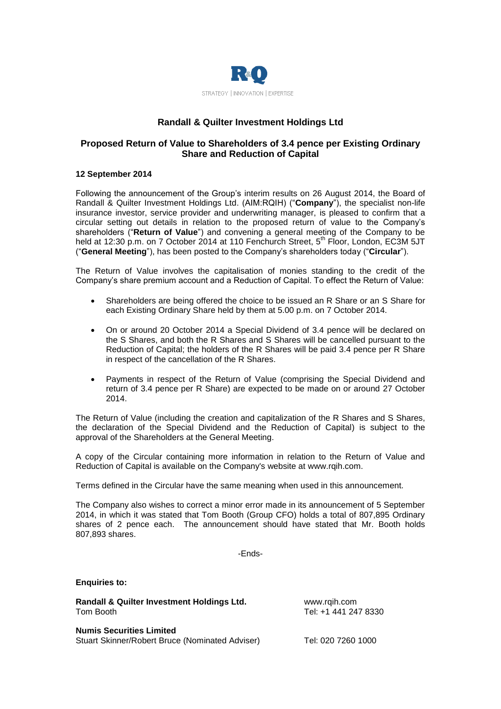

# **Randall & Quilter Investment Holdings Ltd**

## **Proposed Return of Value to Shareholders of 3.4 pence per Existing Ordinary Share and Reduction of Capital**

## **12 September 2014**

Following the announcement of the Group's interim results on 26 August 2014, the Board of Randall & Quilter Investment Holdings Ltd. (AIM:RQIH) ("**Company**"), the specialist non-life insurance investor, service provider and underwriting manager, is pleased to confirm that a circular setting out details in relation to the proposed return of value to the Company's shareholders ("**Return of Value**") and convening a general meeting of the Company to be held at 12:30 p.m. on 7 October 2014 at 110 Fenchurch Street, 5<sup>th</sup> Floor, London, EC3M 5JT ("**General Meeting**"), has been posted to the Company's shareholders today ("**Circular**").

The Return of Value involves the capitalisation of monies standing to the credit of the Company's share premium account and a Reduction of Capital. To effect the Return of Value:

- Shareholders are being offered the choice to be issued an R Share or an S Share for each Existing Ordinary Share held by them at 5.00 p.m. on 7 October 2014.
- On or around 20 October 2014 a Special Dividend of 3.4 pence will be declared on the S Shares, and both the R Shares and S Shares will be cancelled pursuant to the Reduction of Capital; the holders of the R Shares will be paid 3.4 pence per R Share in respect of the cancellation of the R Shares.
- Payments in respect of the Return of Value (comprising the Special Dividend and return of 3.4 pence per R Share) are expected to be made on or around 27 October 2014.

The Return of Value (including the creation and capitalization of the R Shares and S Shares, the declaration of the Special Dividend and the Reduction of Capital) is subject to the approval of the Shareholders at the General Meeting.

A copy of the Circular containing more information in relation to the Return of Value and Reduction of Capital is available on the Company's website at [www.rqih.com.](http://www.rqih.com/)

Terms defined in the Circular have the same meaning when used in this announcement.

The Company also wishes to correct a minor error made in its announcement of 5 September 2014, in which it was stated that Tom Booth (Group CFO) holds a total of 807,895 Ordinary shares of 2 pence each. The announcement should have stated that Mr. Booth holds 807,893 shares.

-Ends-

## **Enquiries to:**

**Randall & Quilter Investment Holdings Ltd.** [www.rqih.com](http://www.rqih.com/) Tom Booth Tel: +1 441 247 8330

**Numis Securities Limited** Stuart Skinner/Robert Bruce (Nominated Adviser) Tel: 020 7260 1000